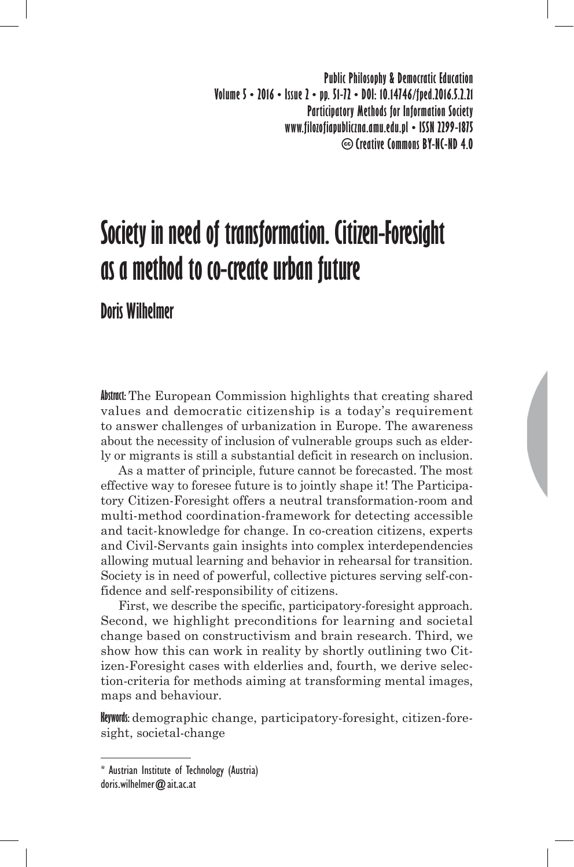**Public Philosophy & Democratic Education Volume 5 • 2016 • Issue 2 • pp. 51-72 • DOI: 10.14746/fped.2016.5.2.21 Participatory Methods for Information Society www.filozofiapubliczna.amu.edu.pl • ISSN 2299-1875 Creative Commons BY-NC-ND 4.0**

# **Society in need of transformation. Citizen-Foresight as a method to co-create urban future**

**Doris Wilhelmer**

**Abstract:** The European Commission highlights that creating shared values and democratic citizenship is a today's requirement to answer challenges of urbanization in Europe. The awareness about the necessity of inclusion of vulnerable groups such as elderly or migrants is still a substantial deficit in research on inclusion.

As a matter of principle, future cannot be forecasted. The most effective way to foresee future is to jointly shape it! The Participatory Citizen-Foresight offers a neutral transformation-room and multi-method coordination-framework for detecting accessible and tacit-knowledge for change. In co-creation citizens, experts and Civil-Servants gain insights into complex interdependencies allowing mutual learning and behavior in rehearsal for transition. Society is in need of powerful, collective pictures serving self-confidence and self-responsibility of citizens.

First, we describe the specific, participatory-foresight approach. Second, we highlight preconditions for learning and societal change based on constructivism and brain research. Third, we show how this can work in reality by shortly outlining two Citizen-Foresight cases with elderlies and, fourth, we derive selection-criteria for methods aiming at transforming mental images, maps and behaviour.

**Keywords:** demographic change, participatory-foresight, citizen-foresight, societal-change

<sup>\*</sup> Austrian Institute of Technology (Austria) doris.wilhelmer@ait.ac.at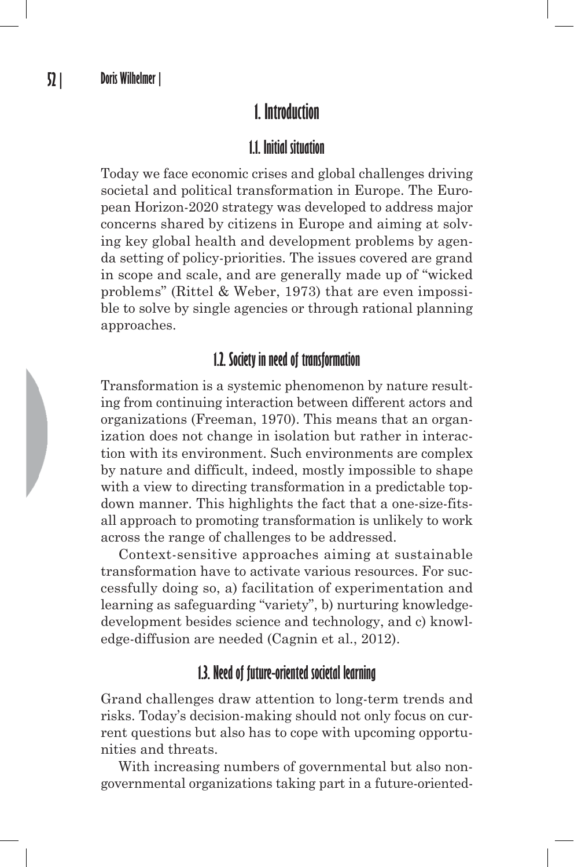# **1. Introduction**

## **1.1. Initial situation**

Today we face economic crises and global challenges driving societal and political transformation in Europe. The European Horizon-2020 strategy was developed to address major concerns shared by citizens in Europe and aiming at solving key global health and development problems by agenda setting of policy-priorities. The issues covered are grand in scope and scale, and are generally made up of "wicked problems" (Rittel & Weber, 1973) that are even impossible to solve by single agencies or through rational planning approaches.

## **1.2. Society in need of transformation**

Transformation is a systemic phenomenon by nature resulting from continuing interaction between different actors and organizations (Freeman, 1970). This means that an organization does not change in isolation but rather in interaction with its environment. Such environments are complex by nature and difficult, indeed, mostly impossible to shape with a view to directing transformation in a predictable topdown manner. This highlights the fact that a one-size-fitsall approach to promoting transformation is unlikely to work across the range of challenges to be addressed.

Context-sensitive approaches aiming at sustainable transformation have to activate various resources. For successfully doing so, a) facilitation of experimentation and learning as safeguarding "variety", b) nurturing knowledgedevelopment besides science and technology, and c) knowledge-diffusion are needed (Cagnin et al., 2012).

## **1.3. Need of future-oriented societal learning**

Grand challenges draw attention to long-term trends and risks. Today's decision-making should not only focus on current questions but also has to cope with upcoming opportunities and threats.

With increasing numbers of governmental but also nongovernmental organizations taking part in a future-oriented-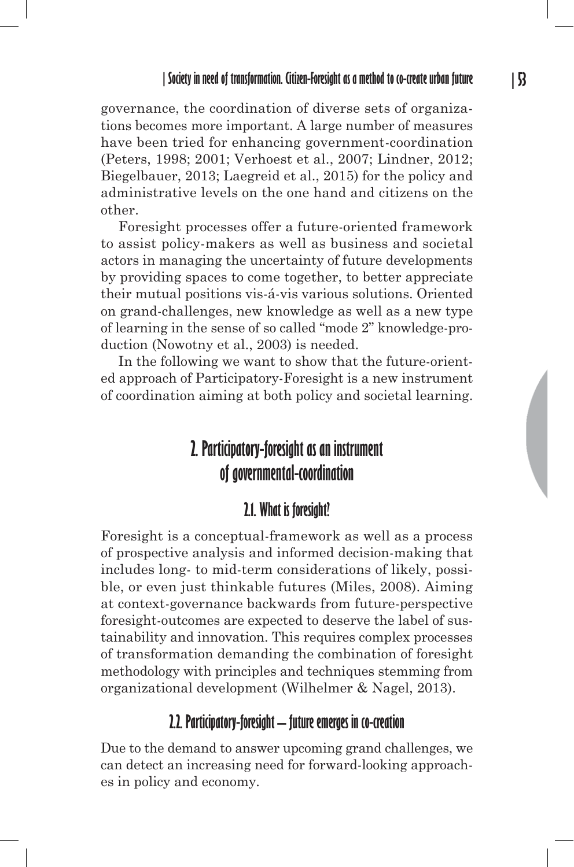governance, the coordination of diverse sets of organizations becomes more important. A large number of measures have been tried for enhancing government-coordination (Peters, 1998; 2001; Verhoest et al., 2007; Lindner, 2012; Biegelbauer, 2013; Laegreid et al., 2015) for the policy and administrative levels on the one hand and citizens on the other.

Foresight processes offer a future-oriented framework to assist policy-makers as well as business and societal actors in managing the uncertainty of future developments by providing spaces to come together, to better appreciate their mutual positions vis-á-vis various solutions. Oriented on grand-challenges, new knowledge as well as a new type of learning in the sense of so called "mode 2" knowledge-production (Nowotny et al., 2003) is needed.

In the following we want to show that the future-oriented approach of Participatory-Foresight is a new instrument of coordination aiming at both policy and societal learning.

# **2. Participatory-foresight as an instrument of governmental-coordination**

#### **2.1. What is foresight?**

Foresight is a conceptual-framework as well as a process of prospective analysis and informed decision-making that includes long- to mid-term considerations of likely, possible, or even just thinkable futures (Miles, 2008). Aiming at context-governance backwards from future-perspective foresight-outcomes are expected to deserve the label of sustainability and innovation. This requires complex processes of transformation demanding the combination of foresight methodology with principles and techniques stemming from organizational development (Wilhelmer & Nagel, 2013).

#### **2.2. Participatory-foresight – future emerges in co-creation**

Due to the demand to answer upcoming grand challenges, we can detect an increasing need for forward-looking approaches in policy and economy.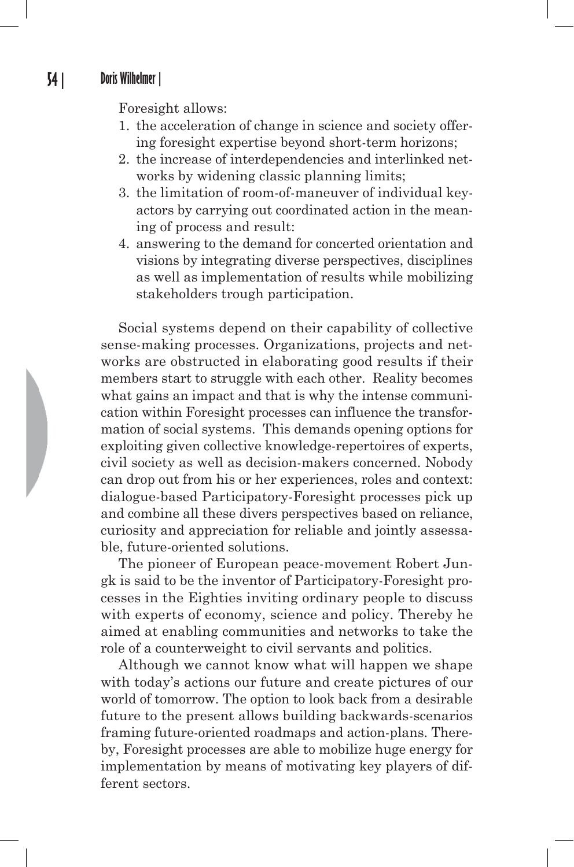Foresight allows:

- 1. the acceleration of change in science and society offering foresight expertise beyond short-term horizons;
- 2. the increase of interdependencies and interlinked networks by widening classic planning limits;
- 3. the limitation of room-of-maneuver of individual keyactors by carrying out coordinated action in the meaning of process and result:
- 4. answering to the demand for concerted orientation and visions by integrating diverse perspectives, disciplines as well as implementation of results while mobilizing stakeholders trough participation.

Social systems depend on their capability of collective sense-making processes. Organizations, projects and networks are obstructed in elaborating good results if their members start to struggle with each other. Reality becomes what gains an impact and that is why the intense communication within Foresight processes can influence the transformation of social systems. This demands opening options for exploiting given collective knowledge-repertoires of experts, civil society as well as decision-makers concerned. Nobody can drop out from his or her experiences, roles and context: dialogue-based Participatory-Foresight processes pick up and combine all these divers perspectives based on reliance, curiosity and appreciation for reliable and jointly assessable, future-oriented solutions.

The pioneer of European peace-movement Robert Jungk is said to be the inventor of Participatory-Foresight processes in the Eighties inviting ordinary people to discuss with experts of economy, science and policy. Thereby he aimed at enabling communities and networks to take the role of a counterweight to civil servants and politics.

Although we cannot know what will happen we shape with today's actions our future and create pictures of our world of tomorrow. The option to look back from a desirable future to the present allows building backwards-scenarios framing future-oriented roadmaps and action-plans. Thereby, Foresight processes are able to mobilize huge energy for implementation by means of motivating key players of different sectors.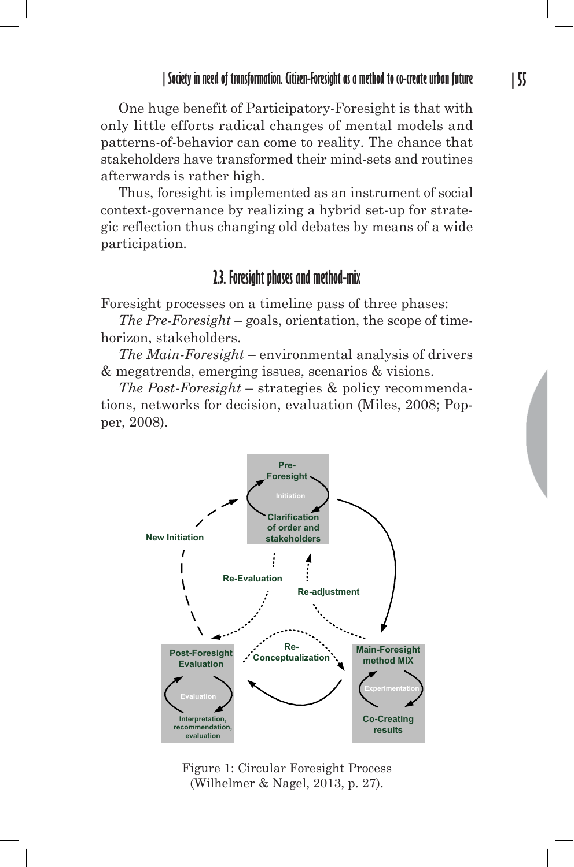One huge benefit of Participatory-Foresight is that with only little efforts radical changes of mental models and patterns-of-behavior can come to reality. The chance that stakeholders have transformed their mind-sets and routines afterwards is rather high.

Thus, foresight is implemented as an instrument of social context-governance by realizing a hybrid set-up for strategic reflection thus changing old debates by means of a wide participation.

#### **2.3. Foresight phases and method-mix**

Foresight processes on a timeline pass of three phases:

*The Pre-Foresight* – goals, orientation, the scope of timehorizon, stakeholders.

*The Main-Foresight* – environmental analysis of drivers & megatrends, emerging issues, scenarios & visions.

*The Post-Foresight* – strategies & policy recommendations, networks for decision, evaluation (Miles, 2008; Popper, 2008).



Figure 1: Circular Foresight Process (Wilhelmer & Nagel, 2013, p. 27).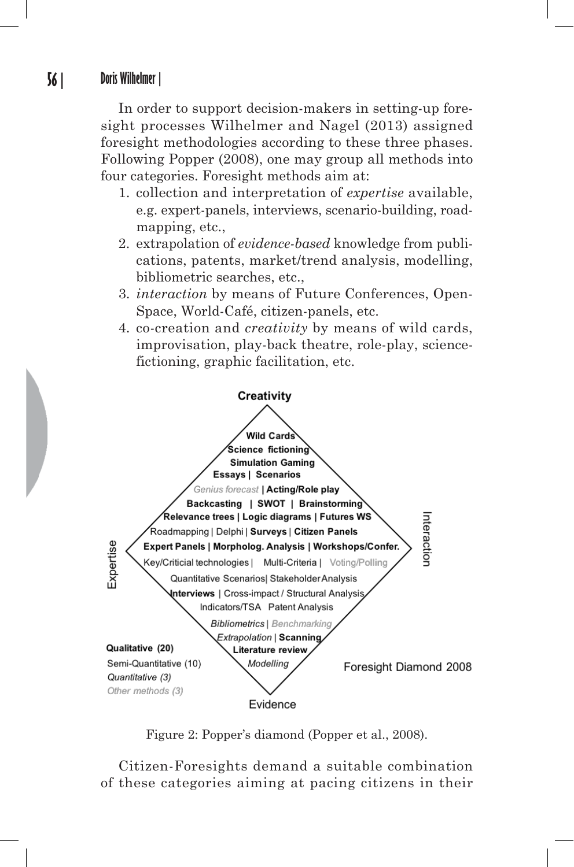In order to support decision-makers in setting-up foresight processes Wilhelmer and Nagel (2013) assigned foresight methodologies according to these three phases. Following Popper (2008), one may group all methods into four categories. Foresight methods aim at:

- 1. collection and interpretation of *expertise* available, e.g. expert-panels, interviews, scenario-building, roadmapping, etc.,
- 2. extrapolation of *evidence-based* knowledge from publi cations, patents, market/trend analysis, modelling, bibliometric searches, etc.,
- 3. *interaction* by means of Future Conferences, Open-Space, World-Café, citizen-panels, etc.
- 4. co-creation and *creativity* by means of wild cards, improvisation, play-back theatre, role-play, sciencefictioning, graphic facilitation, etc.



Figure 2: Popper's diamond (Popper et al., 2008).

Citizen-Foresights demand a suitable combination of these categories aiming at pacing citizens in their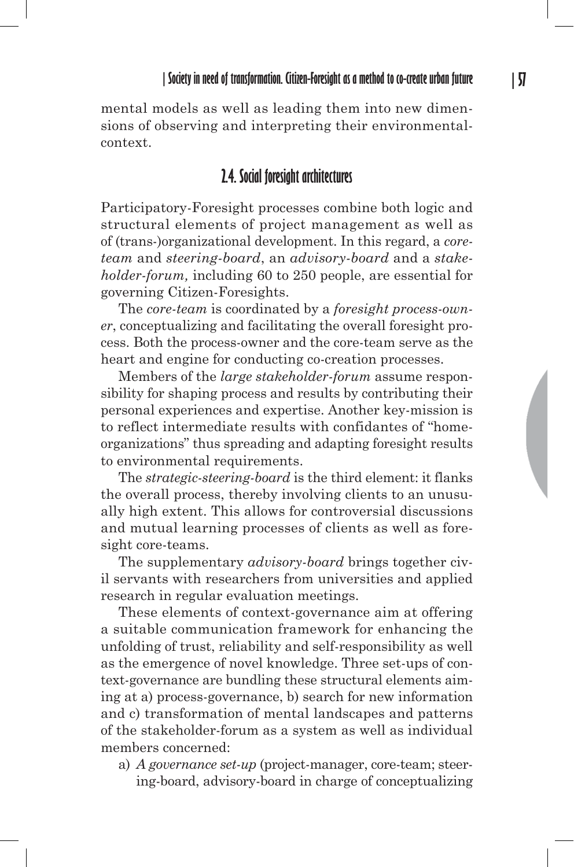mental models as well as leading them into new dimensions of observing and interpreting their environmentalcontext.

#### **2.4. Social foresight architectures**

Participatory-Foresight processes combine both logic and structural elements of project management as well as of (trans-)organizational development. In this regard, a *coreteam* and *steering-board*, an *advisory-board* and a *stakeholder-forum,* including 60 to 250 people, are essential for governing Citizen-Foresights.

The *core-team* is coordinated by a *foresight process-owner*, conceptualizing and facilitating the overall foresight process. Both the process-owner and the core-team serve as the heart and engine for conducting co-creation processes.

Members of the *large stakeholder-forum* assume responsibility for shaping process and results by contributing their personal experiences and expertise. Another key-mission is to reflect intermediate results with confidantes of "homeorganizations" thus spreading and adapting foresight results to environmental requirements.

The *strategic-steering-board* is the third element: it flanks the overall process, thereby involving clients to an unusually high extent. This allows for controversial discussions and mutual learning processes of clients as well as foresight core-teams.

The supplementary *advisory-board* brings together civil servants with researchers from universities and applied research in regular evaluation meetings.

These elements of context-governance aim at offering a suitable communication framework for enhancing the unfolding of trust, reliability and self-responsibility as well as the emergence of novel knowledge. Three set-ups of context-governance are bundling these structural elements aiming at a) process-governance, b) search for new information and c) transformation of mental landscapes and patterns of the stakeholder-forum as a system as well as individual members concerned:

a) *A governance set-up* (project-manager, core-team; steering-board, advisory-board in charge of conceptualizing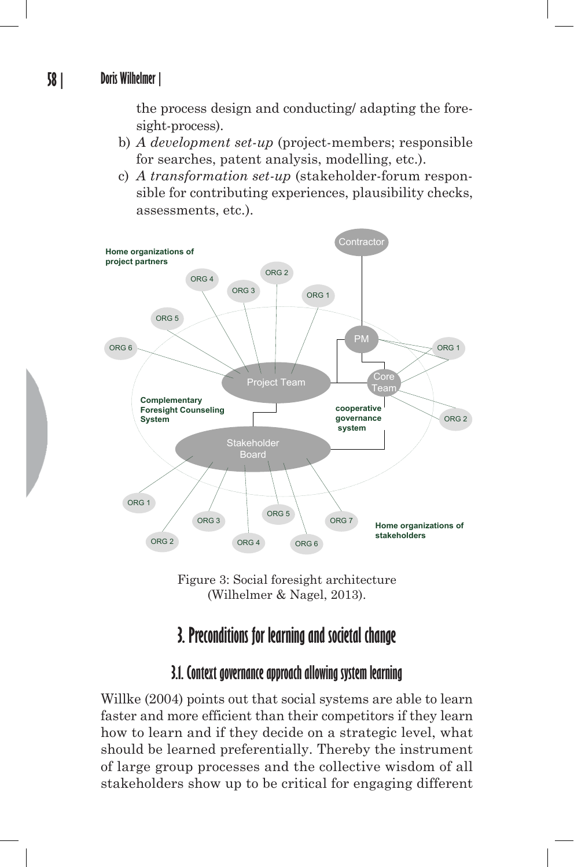the process design and conducting/ adapting the foresight-process).

- b) *A development set-up* (project-members; responsible for searches, patent analysis, modelling, etc.).
- c) *A transformation set-up* (stakeholder-forum responsible for contributing experiences, plausibility checks, assessments, etc.).





# **3. Preconditions for learning and societal change**

## **3.1. Context governance approach allowing system learning**

Willke (2004) points out that social systems are able to learn faster and more efficient than their competitors if they learn how to learn and if they decide on a strategic level, what should be learned preferentially. Thereby the instrument of large group processes and the collective wisdom of all stakeholders show up to be critical for engaging different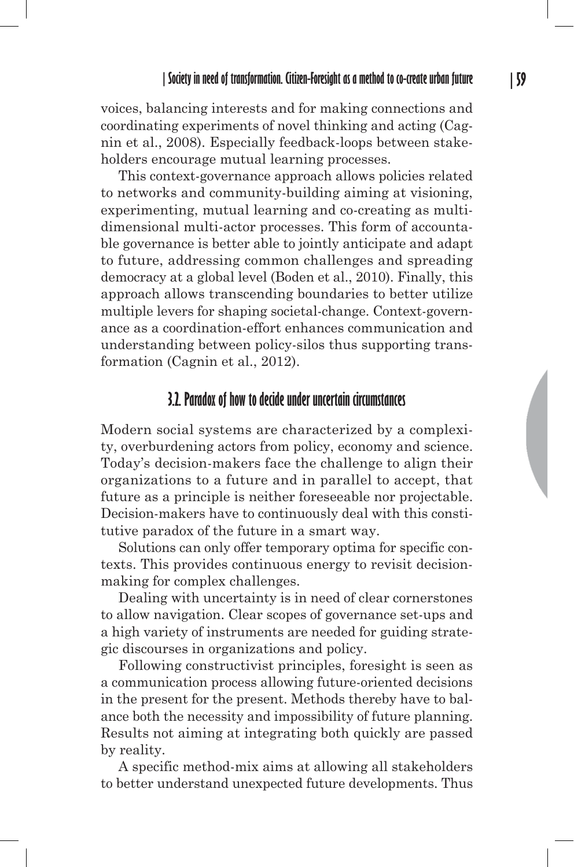voices, balancing interests and for making connections and coordinating experiments of novel thinking and acting (Cagnin et al., 2008). Especially feedback-loops between stakeholders encourage mutual learning processes.

This context-governance approach allows policies related to networks and community-building aiming at visioning, experimenting, mutual learning and co-creating as multidimensional multi-actor processes. This form of accountable governance is better able to jointly anticipate and adapt to future, addressing common challenges and spreading democracy at a global level (Boden et al., 2010). Finally, this approach allows transcending boundaries to better utilize multiple levers for shaping societal-change. Context-governance as a coordination-effort enhances communication and understanding between policy-silos thus supporting transformation (Cagnin et al., 2012).

#### **3.2. Paradox of how to decide under uncertain circumstances**

Modern social systems are characterized by a complexity, overburdening actors from policy, economy and science. Today's decision-makers face the challenge to align their organizations to a future and in parallel to accept, that future as a principle is neither foreseeable nor projectable. Decision-makers have to continuously deal with this constitutive paradox of the future in a smart way.

Solutions can only offer temporary optima for specific contexts. This provides continuous energy to revisit decisionmaking for complex challenges.

Dealing with uncertainty is in need of clear cornerstones to allow navigation. Clear scopes of governance set-ups and a high variety of instruments are needed for guiding strategic discourses in organizations and policy.

Following constructivist principles, foresight is seen as a communication process allowing future-oriented decisions in the present for the present. Methods thereby have to balance both the necessity and impossibility of future planning. Results not aiming at integrating both quickly are passed by reality.

A specific method-mix aims at allowing all stakeholders to better understand unexpected future developments. Thus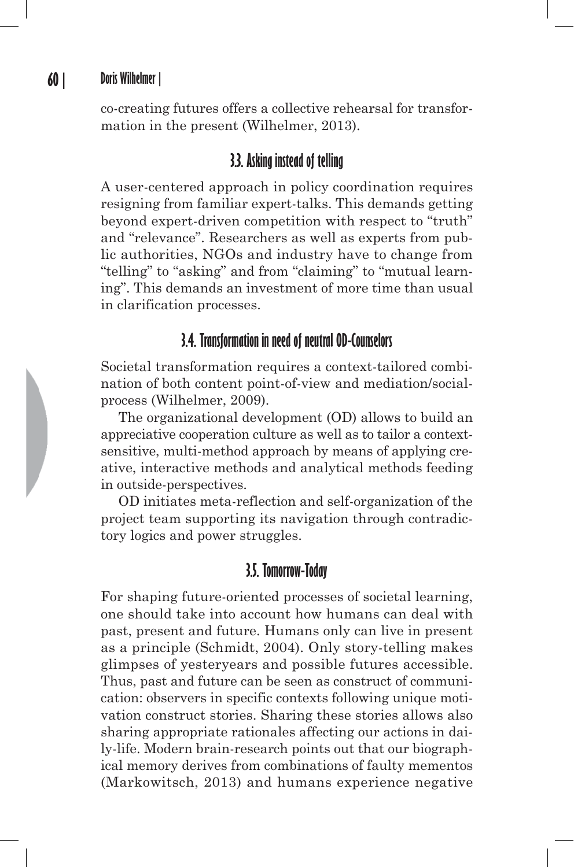co-creating futures offers a collective rehearsal for transformation in the present (Wilhelmer, 2013).

#### **3.3. Asking instead of telling**

A user-centered approach in policy coordination requires resigning from familiar expert-talks. This demands getting beyond expert-driven competition with respect to "truth" and "relevance". Researchers as well as experts from public authorities, NGOs and industry have to change from "telling" to "asking" and from "claiming" to "mutual learning". This demands an investment of more time than usual in clarification processes.

#### **3.4. Transformation in need of neutral OD-Counselors**

Societal transformation requires a context-tailored combination of both content point-of-view and mediation/socialprocess (Wilhelmer, 2009).

The organizational development (OD) allows to build an appreciative cooperation culture as well as to tailor a contextsensitive, multi-method approach by means of applying creative, interactive methods and analytical methods feeding in outside-perspectives.

OD initiates meta-reflection and self-organization of the project team supporting its navigation through contradictory logics and power struggles.

#### **3.5. Tomorrow-Today**

For shaping future-oriented processes of societal learning, one should take into account how humans can deal with past, present and future. Humans only can live in present as a principle (Schmidt, 2004). Only story-telling makes glimpses of yesteryears and possible futures accessible. Thus, past and future can be seen as construct of communication: observers in specific contexts following unique motivation construct stories. Sharing these stories allows also sharing appropriate rationales affecting our actions in daily-life. Modern brain-research points out that our biographical memory derives from combinations of faulty mementos (Markowitsch, 2013) and humans experience negative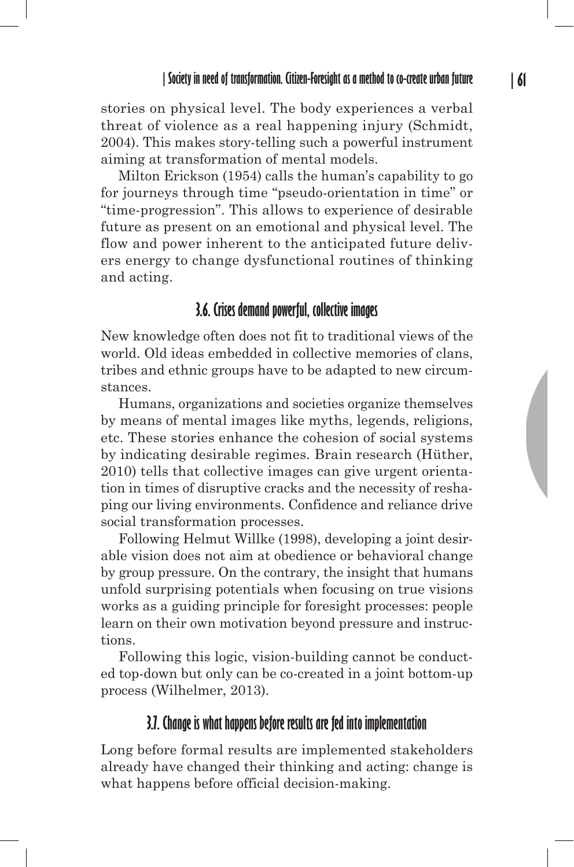stories on physical level. The body experiences a verbal threat of violence as a real happening injury (Schmidt, 2004). This makes story-telling such a powerful instrument aiming at transformation of mental models.

Milton Erickson (1954) calls the human's capability to go for journeys through time "pseudo-orientation in time" or "time-progression". This allows to experience of desirable future as present on an emotional and physical level. The flow and power inherent to the anticipated future delivers energy to change dysfunctional routines of thinking and acting.

#### **3.6. Crises demand powerful, collective images**

New knowledge often does not fit to traditional views of the world. Old ideas embedded in collective memories of clans, tribes and ethnic groups have to be adapted to new circumstances.

Humans, organizations and societies organize themselves by means of mental images like myths, legends, religions, etc. These stories enhance the cohesion of social systems by indicating desirable regimes. Brain research (Hüther, 2010) tells that collective images can give urgent orientation in times of disruptive cracks and the necessity of reshaping our living environments. Confidence and reliance drive social transformation processes.

Following Helmut Willke (1998), developing a joint desirable vision does not aim at obedience or behavioral change by group pressure. On the contrary, the insight that humans unfold surprising potentials when focusing on true visions works as a guiding principle for foresight processes: people learn on their own motivation beyond pressure and instructions.

Following this logic, vision-building cannot be conducted top-down but only can be co-created in a joint bottom-up process (Wilhelmer, 2013).

#### **3.7. Change is what happens before results are fed into implementation**

Long before formal results are implemented stakeholders already have changed their thinking and acting: change is what happens before official decision-making.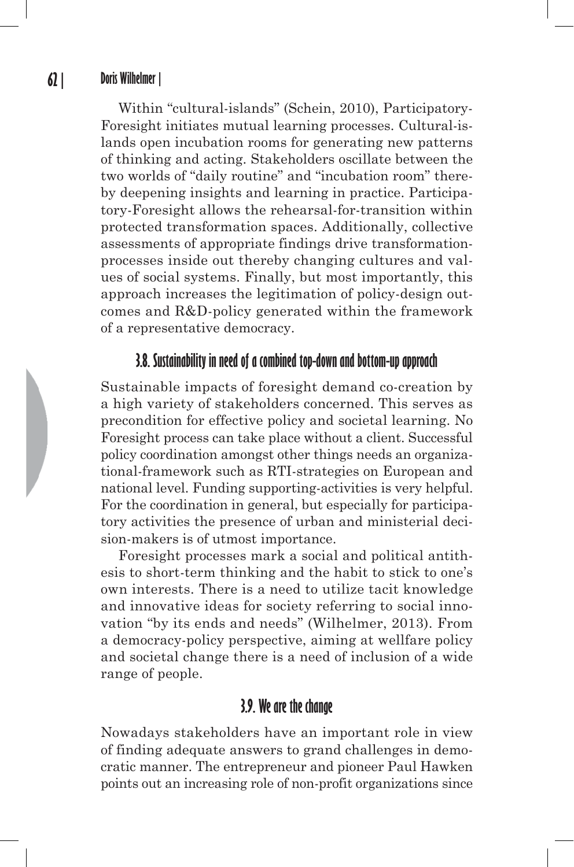Within "cultural-islands" (Schein, 2010), Participatory-Foresight initiates mutual learning processes. Cultural-islands open incubation rooms for generating new patterns of thinking and acting. Stakeholders oscillate between the two worlds of "daily routine" and "incubation room" thereby deepening insights and learning in practice. Participatory-Foresight allows the rehearsal-for-transition within protected transformation spaces. Additionally, collective assessments of appropriate findings drive transformationprocesses inside out thereby changing cultures and values of social systems. Finally, but most importantly, this approach increases the legitimation of policy-design outcomes and R&D-policy generated within the framework of a representative democracy.

#### **3.8. Sustainability in need of a combined top-down and bottom-up approach**

Sustainable impacts of foresight demand co-creation by a high variety of stakeholders concerned. This serves as precondition for effective policy and societal learning. No Foresight process can take place without a client. Successful policy coordination amongst other things needs an organizational-framework such as RTI-strategies on European and national level. Funding supporting-activities is very helpful. For the coordination in general, but especially for participatory activities the presence of urban and ministerial decision-makers is of utmost importance.

Foresight processes mark a social and political antithesis to short-term thinking and the habit to stick to one's own interests. There is a need to utilize tacit knowledge and innovative ideas for society referring to social innovation "by its ends and needs" (Wilhelmer, 2013). From a democracy-policy perspective, aiming at wellfare policy and societal change there is a need of inclusion of a wide range of people.

#### **3.9. We are the change**

Nowadays stakeholders have an important role in view of finding adequate answers to grand challenges in democratic manner. The entrepreneur and pioneer Paul Hawken points out an increasing role of non-profit organizations since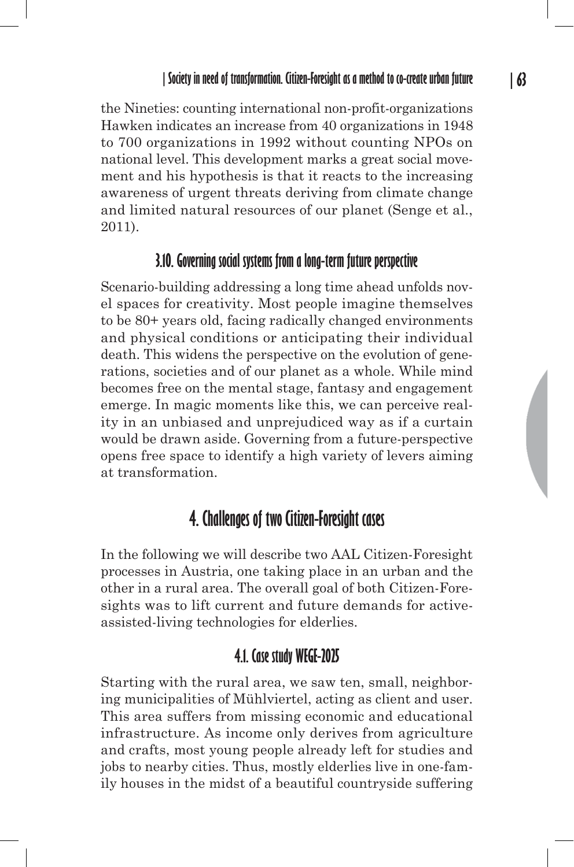the Nineties: counting international non-profit-organizations Hawken indicates an increase from 40 organizations in 1948 to 700 organizations in 1992 without counting NPOs on national level. This development marks a great social movement and his hypothesis is that it reacts to the increasing awareness of urgent threats deriving from climate change and limited natural resources of our planet (Senge et al., 2011).

#### **3.10. Governing social systems from a long-term future perspective**

Scenario-building addressing a long time ahead unfolds novel spaces for creativity. Most people imagine themselves to be 80+ years old, facing radically changed environments and physical conditions or anticipating their individual death. This widens the perspective on the evolution of generations, societies and of our planet as a whole. While mind becomes free on the mental stage, fantasy and engagement emerge. In magic moments like this, we can perceive reality in an unbiased and unprejudiced way as if a curtain would be drawn aside. Governing from a future-perspective opens free space to identify a high variety of levers aiming at transformation.

# **4. Challenges of two Citizen-Foresight cases**

In the following we will describe two AAL Citizen-Foresight processes in Austria, one taking place in an urban and the other in a rural area. The overall goal of both Citizen-Foresights was to lift current and future demands for activeassisted-living technologies for elderlies.

# **4.1. Case study WEGE-2025**

Starting with the rural area, we saw ten, small, neighboring municipalities of Mühlviertel, acting as client and user. This area suffers from missing economic and educational infrastructure. As income only derives from agriculture and crafts, most young people already left for studies and jobs to nearby cities. Thus, mostly elderlies live in one-family houses in the midst of a beautiful countryside suffering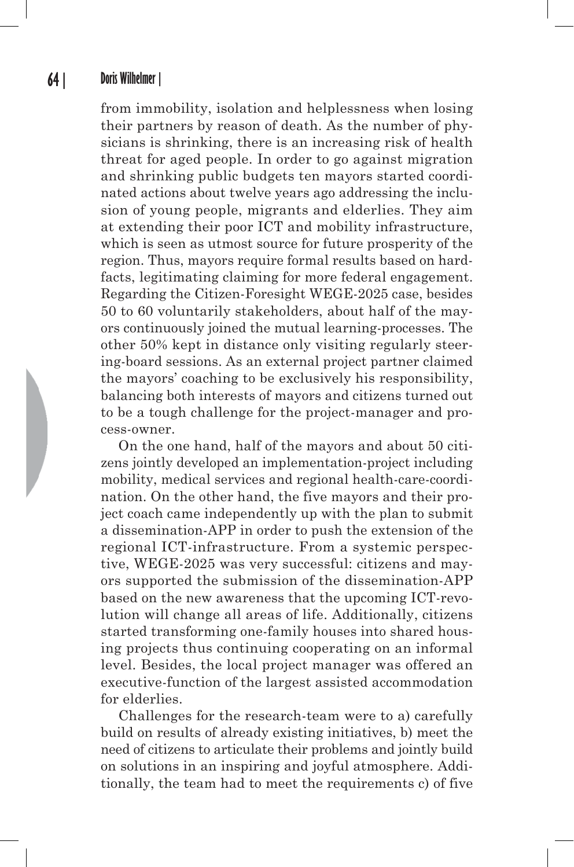from immobility, isolation and helplessness when losing their partners by reason of death. As the number of physicians is shrinking, there is an increasing risk of health threat for aged people. In order to go against migration and shrinking public budgets ten mayors started coordinated actions about twelve years ago addressing the inclusion of young people, migrants and elderlies. They aim at extending their poor ICT and mobility infrastructure, which is seen as utmost source for future prosperity of the region. Thus, mayors require formal results based on hardfacts, legitimating claiming for more federal engagement. Regarding the Citizen-Foresight WEGE-2025 case, besides 50 to 60 voluntarily stakeholders, about half of the mayors continuously joined the mutual learning-processes. The other 50% kept in distance only visiting regularly steering-board sessions. As an external project partner claimed the mayors' coaching to be exclusively his responsibility, balancing both interests of mayors and citizens turned out to be a tough challenge for the project-manager and process-owner.

On the one hand, half of the mayors and about 50 citizens jointly developed an implementation-project including mobility, medical services and regional health-care-coordination. On the other hand, the five mayors and their project coach came independently up with the plan to submit a dissemination-APP in order to push the extension of the regional ICT-infrastructure. From a systemic perspective, WEGE-2025 was very successful: citizens and mayors supported the submission of the dissemination-APP based on the new awareness that the upcoming ICT-revolution will change all areas of life. Additionally, citizens started transforming one-family houses into shared housing projects thus continuing cooperating on an informal level. Besides, the local project manager was offered an executive-function of the largest assisted accommodation for elderlies.

Challenges for the research-team were to a) carefully build on results of already existing initiatives, b) meet the need of citizens to articulate their problems and jointly build on solutions in an inspiring and joyful atmosphere. Additionally, the team had to meet the requirements c) of five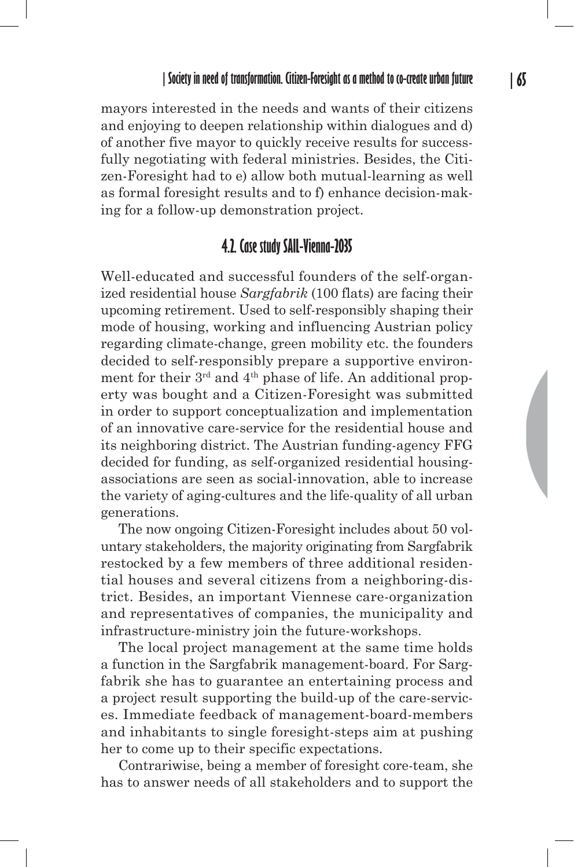mayors interested in the needs and wants of their citizens and enjoying to deepen relationship within dialogues and d) of another five mayor to quickly receive results for successfully negotiating with federal ministries. Besides, the Citizen-Foresight had to e) allow both mutual-learning as well as formal foresight results and to f) enhance decision-making for a follow-up demonstration project.

### **4.2. Case study SAIL-Vienna-2035**

Well-educated and successful founders of the self-organized residential house *Sargfabrik* (100 flats) are facing their upcoming retirement. Used to self-responsibly shaping their mode of housing, working and influencing Austrian policy regarding climate-change, green mobility etc. the founders decided to self-responsibly prepare a supportive environment for their 3rd and 4th phase of life. An additional property was bought and a Citizen-Foresight was submitted in order to support conceptualization and implementation of an innovative care-service for the residential house and its neighboring district. The Austrian funding-agency FFG decided for funding, as self-organized residential housingassociations are seen as social-innovation, able to increase the variety of aging-cultures and the life-quality of all urban generations.

The now ongoing Citizen-Foresight includes about 50 voluntary stakeholders, the majority originating from Sargfabrik restocked by a few members of three additional residential houses and several citizens from a neighboring-district. Besides, an important Viennese care-organization and representatives of companies, the municipality and infrastructure-ministry join the future-workshops.

The local project management at the same time holds a function in the Sargfabrik management-board. For Sargfabrik she has to guarantee an entertaining process and a project result supporting the build-up of the care-services. Immediate feedback of management-board-members and inhabitants to single foresight-steps aim at pushing her to come up to their specific expectations.

Contrariwise, being a member of foresight core-team, she has to answer needs of all stakeholders and to support the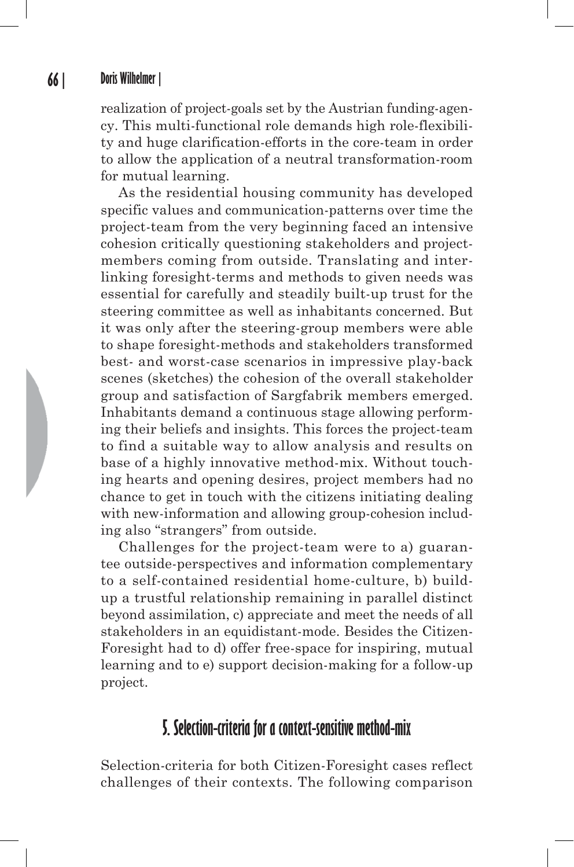realization of project-goals set by the Austrian funding-agency. This multi-functional role demands high role-flexibility and huge clarification-efforts in the core-team in order to allow the application of a neutral transformation-room for mutual learning.

As the residential housing community has developed specific values and communication-patterns over time the project-team from the very beginning faced an intensive cohesion critically questioning stakeholders and projectmembers coming from outside. Translating and interlinking foresight-terms and methods to given needs was essential for carefully and steadily built-up trust for the steering committee as well as inhabitants concerned. But it was only after the steering-group members were able to shape foresight-methods and stakeholders transformed best- and worst-case scenarios in impressive play-back scenes (sketches) the cohesion of the overall stakeholder group and satisfaction of Sargfabrik members emerged. Inhabitants demand a continuous stage allowing performing their beliefs and insights. This forces the project-team to find a suitable way to allow analysis and results on base of a highly innovative method-mix. Without touching hearts and opening desires, project members had no chance to get in touch with the citizens initiating dealing with new-information and allowing group-cohesion including also "strangers" from outside.

Challenges for the project-team were to a) guarantee outside-perspectives and information complementary to a self-contained residential home-culture, b) buildup a trustful relationship remaining in parallel distinct beyond assimilation, c) appreciate and meet the needs of all stakeholders in an equidistant-mode. Besides the Citizen-Foresight had to d) offer free-space for inspiring, mutual learning and to e) support decision-making for a follow-up project.

# **5. Selection-criteria for a context-sensitive method-mix**

Selection-criteria for both Citizen-Foresight cases reflect challenges of their contexts. The following comparison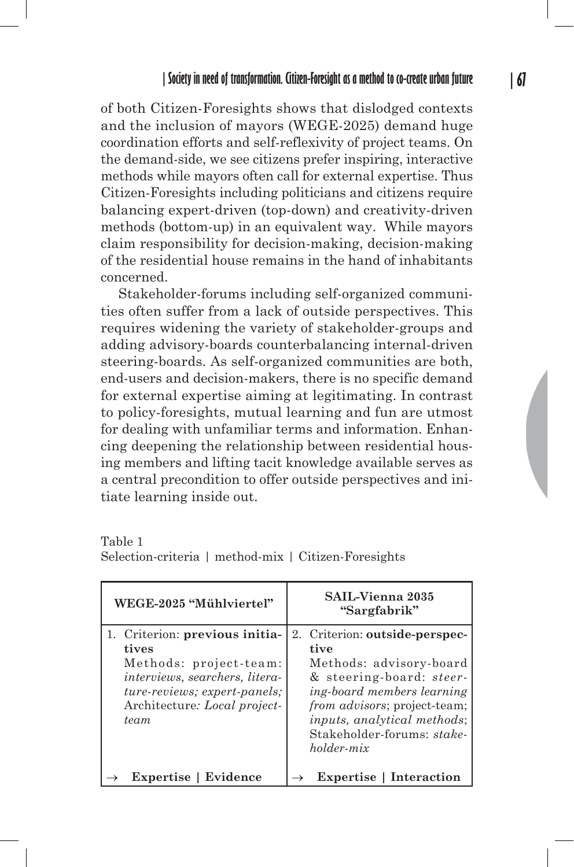of both Citizen-Foresights shows that dislodged contexts and the inclusion of mayors (WEGE-2025) demand huge coordination efforts and self-reflexivity of project teams. On the demand-side, we see citizens prefer inspiring, interactive methods while mayors often call for external expertise. Thus Citizen-Foresights including politicians and citizens require balancing expert-driven (top-down) and creativity-driven methods (bottom-up) in an equivalent way. While mayors claim responsibility for decision-making, decision-making of the residential house remains in the hand of inhabitants concerned.

Stakeholder-forums including self-organized communities often suffer from a lack of outside perspectives. This requires widening the variety of stakeholder-groups and adding advisory-boards counterbalancing internal-driven steering-boards. As self-organized communities are both, end-users and decision-makers, there is no specific demand for external expertise aiming at legitimating. In contrast to policy-foresights, mutual learning and fun are utmost for dealing with unfamiliar terms and information. Enhancing deepening the relationship between residential housing members and lifting tacit knowledge available serves as a central precondition to offer outside perspectives and initiate learning inside out.

Table 1 Selection-criteria | method-mix | Citizen-Foresights

| WEGE-2025 "Mühlviertel"                                                                                                                                                     | <b>SAIL-Vienna 2035</b><br>"Sargfabrik"                                                                                                                                                                                                                              |
|-----------------------------------------------------------------------------------------------------------------------------------------------------------------------------|----------------------------------------------------------------------------------------------------------------------------------------------------------------------------------------------------------------------------------------------------------------------|
| 1. Criterion: previous initia-<br>tives<br>Methods: project-team:<br>interviews, searchers, litera-<br>ture-reviews; expert-panels;<br>Architecture: Local project-<br>team | Criterion: outside-perspec-<br>$2_{-}$<br>tive<br>Methods: advisory-board<br>& steering-board: <i>steer</i> -<br>ing-board members learning<br>from advisors; project-team;<br><i>inputs, analytical methods;</i><br>Stakeholder-forums: stake-<br><i>holder-mix</i> |
| <b>Expertise</b>   Evidence                                                                                                                                                 | <b>Expertise</b>   Interaction                                                                                                                                                                                                                                       |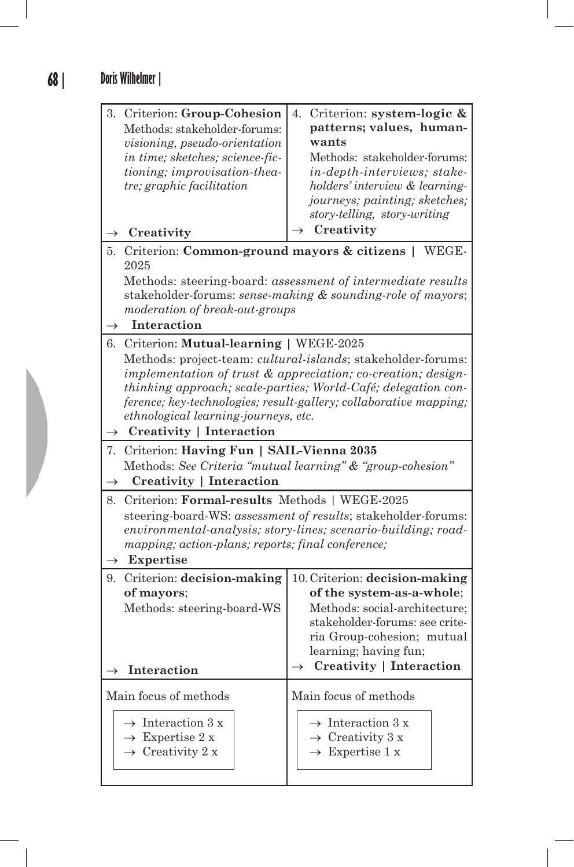| 3. Criterion: Group-Cohesion<br>Methods: stakeholder-forums:<br><i>visioning, pseudo-orientation</i><br>in time; sketches; science-fic-<br>tioning; improvisation-thea-<br>tre; graphic facilitation                                                                                                                                                                                                    | Criterion: system-logic &<br>4.<br>patterns; values, human-<br>wants<br>Methods: stakeholder-forums:<br>in-depth-interviews; stake-<br>holders' interview & learning-<br>journeys; painting; sketches;<br>story-telling, story-writing |
|---------------------------------------------------------------------------------------------------------------------------------------------------------------------------------------------------------------------------------------------------------------------------------------------------------------------------------------------------------------------------------------------------------|----------------------------------------------------------------------------------------------------------------------------------------------------------------------------------------------------------------------------------------|
| Creativity<br>$\rightarrow$                                                                                                                                                                                                                                                                                                                                                                             | Creativity                                                                                                                                                                                                                             |
| Criterion: Common-ground mayors & citizens  <br>WEGE-<br>5.<br>2025                                                                                                                                                                                                                                                                                                                                     |                                                                                                                                                                                                                                        |
| Methods: steering-board: assessment of intermediate results<br>stakeholder-forums: sense-making & sounding-role of mayors;<br>moderation of break-out-groups                                                                                                                                                                                                                                            |                                                                                                                                                                                                                                        |
| Interaction<br>$\rightarrow$                                                                                                                                                                                                                                                                                                                                                                            |                                                                                                                                                                                                                                        |
| Criterion: Mutual-learning   WEGE-2025<br>6.<br>Methods: project-team: cultural-islands; stakeholder-forums:<br>implementation of trust $\&$ appreciation; co-creation; design-<br>thinking approach; scale-parties; World-Café; delegation con-<br>ference; key-technologies; result-gallery; collaborative mapping;<br>ethnological learning-journeys, etc.<br>$\rightarrow$ Creativity   Interaction |                                                                                                                                                                                                                                        |
|                                                                                                                                                                                                                                                                                                                                                                                                         |                                                                                                                                                                                                                                        |
| Criterion: Having Fun   SAIL-Vienna 2035<br>7.<br>Methods: See Criteria "mutual learning" & "group-cohesion"<br><b>Creativity   Interaction</b><br>$\rightarrow$                                                                                                                                                                                                                                        |                                                                                                                                                                                                                                        |
| Criterion: Formal-results Methods   WEGE-2025<br>8.<br>steering-board-WS: assessment of results; stakeholder-forums:<br>environmental-analysis; story-lines; scenario-building; road-<br>mapping; action-plans; reports; final conference;<br>Expertise<br>$\rightarrow$                                                                                                                                |                                                                                                                                                                                                                                        |
| Criterion: decision-making<br>9.<br>of mayors;<br>Methods: steering-board-WS<br>$\rightarrow$<br>Interaction                                                                                                                                                                                                                                                                                            | 10. Criterion: decision-making<br>of the system-as-a-whole;<br>Methods: social-architecture;<br>stakeholder-forums: see crite-<br>ria Group-cohesion; mutual<br>learning; having fun;<br>$\rightarrow$ Creativity   Interaction        |
| Main focus of methods                                                                                                                                                                                                                                                                                                                                                                                   | Main focus of methods                                                                                                                                                                                                                  |
| $\rightarrow$ Interaction 3 x<br>$\rightarrow$ Expertise 2 x<br>$\rightarrow$ Creativity 2 x                                                                                                                                                                                                                                                                                                            | $\rightarrow$ Interaction 3 x<br>$\rightarrow$ Creativity 3 x<br>$\rightarrow$ Expertise 1 x                                                                                                                                           |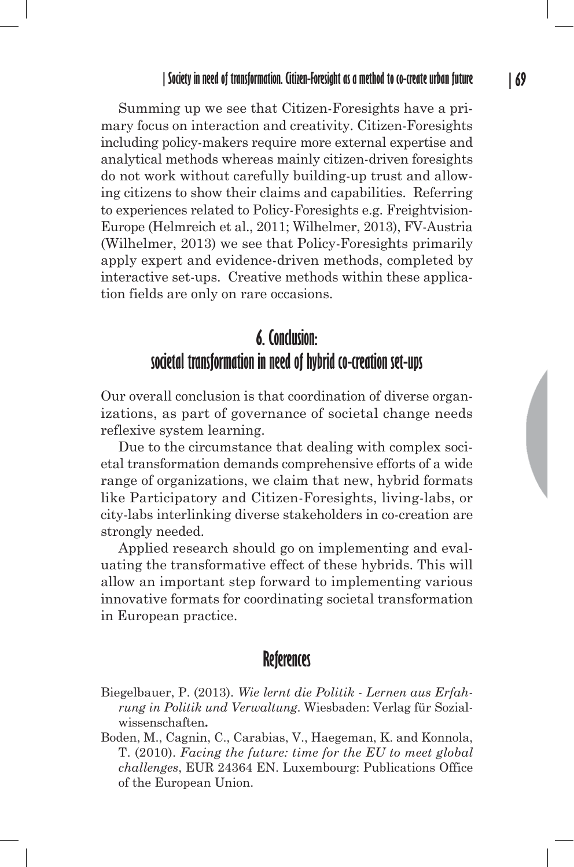Summing up we see that Citizen-Foresights have a primary focus on interaction and creativity. Citizen-Foresights including policy-makers require more external expertise and analytical methods whereas mainly citizen-driven foresights do not work without carefully building-up trust and allowing citizens to show their claims and capabilities. Referring to experiences related to Policy-Foresights e.g. Freightvision-Europe (Helmreich et al., 2011; Wilhelmer, 2013), FV-Austria (Wilhelmer, 2013) we see that Policy-Foresights primarily apply expert and evidence-driven methods, completed by interactive set-ups. Creative methods within these application fields are only on rare occasions.

# **6. Conclusion: societal transformation in need of hybrid co-creation set-ups**

Our overall conclusion is that coordination of diverse organizations, as part of governance of societal change needs reflexive system learning.

Due to the circumstance that dealing with complex societal transformation demands comprehensive efforts of a wide range of organizations, we claim that new, hybrid formats like Participatory and Citizen-Foresights, living-labs, or city-labs interlinking diverse stakeholders in co-creation are strongly needed.

Applied research should go on implementing and evaluating the transformative effect of these hybrids. This will allow an important step forward to implementing various innovative formats for coordinating societal transformation in European practice.

## **References**

- Biegelbauer, P. (2013). *Wie lernt die Politik Lernen aus Erfahrung in Politik und Verwaltung*. Wiesbaden: Verlag für Sozialwissenschaften**.**
- Boden, M., Cagnin, C., Carabias, V., Haegeman, K. and Konnola, T. (2010). *Facing the future: time for the EU to meet global challenges*, EUR 24364 EN. Luxembourg: Publications Office of the European Union.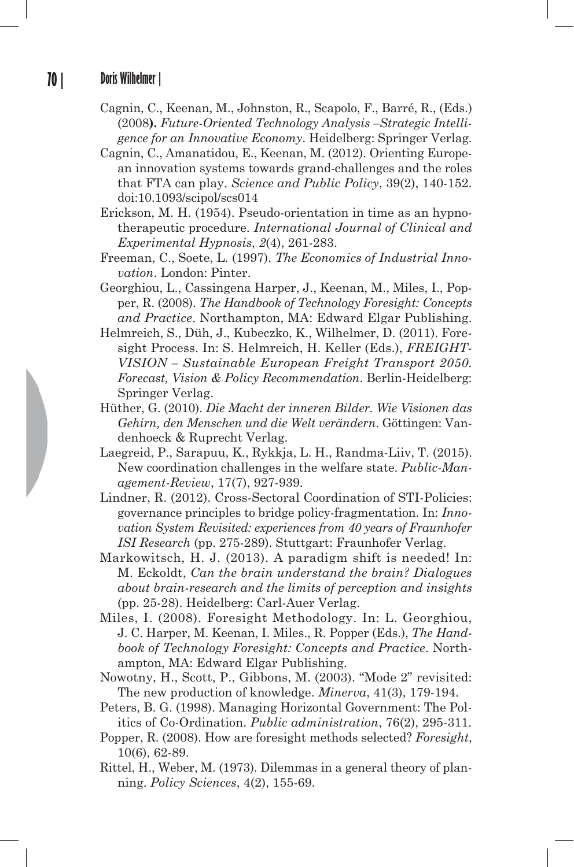- Cagnin, C., Keenan, M., Johnston, R., Scapolo, F., Barré, R., (Eds.) (2008**).** *Future-Oriented Technology Analysis –Strategic Intelligence for an Innovative Economy*. Heidelberg: Springer Verlag.
- Cagnin, C., Amanatidou, E., Keenan, M. (2012). Orienting European innovation systems towards grand-challenges and the roles that FTA can play. *Science and Public Policy*, 39(2), 140-152. doi:10.1093/scipol/scs014
- Erickson, M. H. (1954). Pseudo-orientation in time as an hypnotherapeutic procedure. *International Journal of Clinical and Experimental Hypnosis*, *2*(4), 261-283.
- Freeman, C., Soete, L. (1997). *The Economics of Industrial Innovation*. London: Pinter.
- Georghiou, L., Cassingena Harper, J., Keenan, M., Miles, I., Popper, R. (2008). *The Handbook of Technology Foresight: Concepts and Practice*. Northampton, MA: Edward Elgar Publishing.
- Helmreich, S., Düh, J., Kubeczko, K., Wilhelmer, D. (2011). Foresight Process. In: S. Helmreich, H. Keller (Eds.), *FREIGHT-VISION – Sustainable European Freight Transport 2050. Forecast, Vision & Policy Recommendation*. Berlin-Heidelberg: Springer Verlag.
- Hüther, G. (2010). *Die Macht der inneren Bilder. Wie Visionen das Gehirn, den Menschen und die Welt verändern*. Göttingen: Vandenhoeck & Ruprecht Verlag.
- Laegreid, P., Sarapuu, K., Rykkja, L. H., Randma-Liiv, T. (2015). New coordination challenges in the welfare state. *Public-Management-Review*, 17(7), 927-939.
- Lindner, R. (2012). Cross-Sectoral Coordination of STI-Policies: governance principles to bridge policy-fragmentation. In: *Innovation System Revisited: experiences from 40 years of Fraunhofer ISI Research* (pp. 275-289). Stuttgart: Fraunhofer Verlag.
- Markowitsch, H. J. (2013). A paradigm shift is needed! In: M. Eckoldt, *Can the brain understand the brain? Dialogues about brain-research and the limits of perception and insights* (pp. 25-28). Heidelberg: Carl-Auer Verlag.
- Miles, I. (2008). Foresight Methodology. In: L. Georghiou, J. C. Harper, M. Keenan, I. Miles., R. Popper (Eds.), *The Handbook of Technology Foresight: Concepts and Practice*. Northampton, MA: Edward Elgar Publishing.
- Nowotny, H., Scott, P., Gibbons, M. (2003). "Mode 2" revisited: The new production of knowledge. *Minerva*, 41(3), 179-194.
- Peters, B. G. (1998). Managing Horizontal Government: The Politics of Co-Ordination. *Public administration*, 76(2), 295-311.
- Popper, R. (2008). How are foresight methods selected? *Foresight*, 10(6), 62-89.
- Rittel, H., Weber, M. (1973). Dilemmas in a general theory of planning. *Policy Sciences*, 4(2), 155-69.